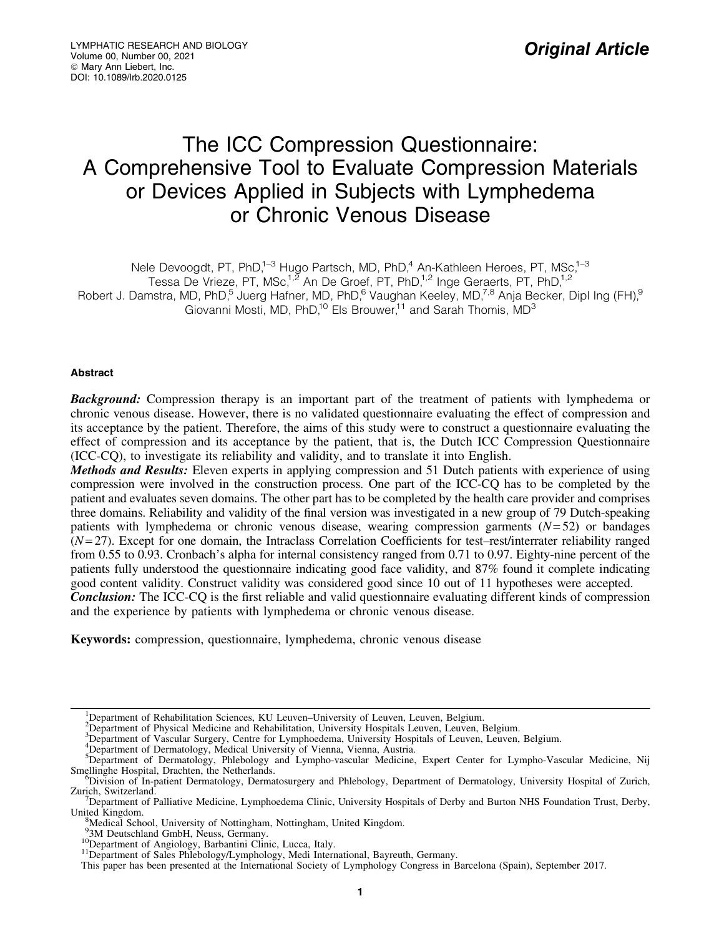# The ICC Compression Questionnaire: A Comprehensive Tool to Evaluate Compression Materials or Devices Applied in Subjects with Lymphedema or Chronic Venous Disease

Nele Devoogdt, PT, PhD,<sup>1–3</sup> Hugo Partsch, MD, PhD,<sup>4</sup> An-Kathleen Heroes, PT, MSc,<sup>1–3</sup>

Tessa De Vrieze, PT, MSc,<sup>1,2</sup> An De Groef, PT, PhD,<sup>1,2</sup> Inge Geraerts, PT, PhD,<sup>1,2</sup>

Robert J. Damstra, MD, PhD,<sup>5</sup> Juerg Hafner, MD, PhD,<sup>6</sup> Vaughan Keeley, MD,<sup>7,8</sup> Anja Becker, Dipl Ing (FH),<sup>9</sup>

Giovanni Mosti, MD, PhD,<sup>10</sup> Els Brouwer,<sup>11</sup> and Sarah Thomis, MD<sup>3</sup>

# Abstract

**Background:** Compression therapy is an important part of the treatment of patients with lymphedema or chronic venous disease. However, there is no validated questionnaire evaluating the effect of compression and its acceptance by the patient. Therefore, the aims of this study were to construct a questionnaire evaluating the effect of compression and its acceptance by the patient, that is, the Dutch ICC Compression Questionnaire (ICC-CQ), to investigate its reliability and validity, and to translate it into English.

Methods and Results: Eleven experts in applying compression and 51 Dutch patients with experience of using compression were involved in the construction process. One part of the ICC-CQ has to be completed by the patient and evaluates seven domains. The other part has to be completed by the health care provider and comprises three domains. Reliability and validity of the final version was investigated in a new group of 79 Dutch-speaking patients with lymphedema or chronic venous disease, wearing compression garments (*N*= 52) or bandages (*N*= 27). Except for one domain, the Intraclass Correlation Coefficients for test–rest/interrater reliability ranged from 0.55 to 0.93. Cronbach's alpha for internal consistency ranged from 0.71 to 0.97. Eighty-nine percent of the patients fully understood the questionnaire indicating good face validity, and 87% found it complete indicating good content validity. Construct validity was considered good since 10 out of 11 hypotheses were accepted. **Conclusion:** The ICC-CQ is the first reliable and valid questionnaire evaluating different kinds of compression

and the experience by patients with lymphedema or chronic venous disease.

Keywords: compression, questionnaire, lymphedema, chronic venous disease

<sup>3</sup>Department of Vascular Surgery, Centre for Lymphoedema, University Hospitals of Leuven, Leuven, Belgium.

<sup>&</sup>lt;sup>1</sup>Department of Rehabilitation Sciences, KU Leuven-University of Leuven, Leuven, Belgium.

<sup>&</sup>lt;sup>2</sup> Department of Physical Medicine and Rehabilitation, University Hospitals Leuven, Leuven, Belgium.

<sup>&</sup>lt;sup>4</sup>Department of Dermatology, Medical University of Vienna, Vienna, Austria.

<sup>5</sup> Department of Dermatology, Phlebology and Lympho-vascular Medicine, Expert Center for Lympho-Vascular Medicine, Nij Smellinghe Hospital, Drachten, the Netherlands.

Division of In-patient Dermatology, Dermatosurgery and Phlebology, Department of Dermatology, University Hospital of Zurich, Zurich, Switzerland.

 $D^{\prime}$ Department of Palliative Medicine, Lymphoedema Clinic, University Hospitals of Derby and Burton NHS Foundation Trust, Derby, United Kingdom.

<sup>&</sup>lt;sup>8</sup>Medical School, University of Nottingham, Nottingham, United Kingdom.<br><sup>93</sup>M Deutschland GmbH, Neuss, Germany.

<sup>&</sup>lt;sup>10</sup>Department of Angiology, Barbantini Clinic, Lucca, Italy.<br><sup>11</sup>Department of Sales Phlebology/Lymphology, Medi International, Bayreuth, Germany.

This paper has been presented at the International Society of Lymphology Congress in Barcelona (Spain), September 2017.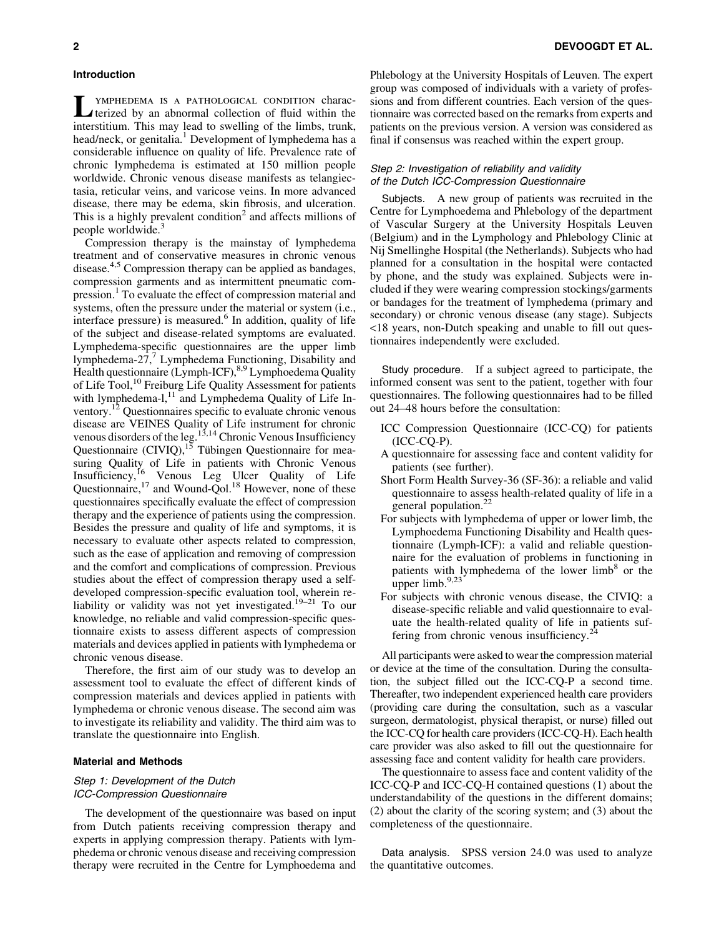#### Introduction

LYMPHEDEMA IS A PATHOLOGICAL CONDITION charac-<br>terized by an abnormal collection of fluid within the interstitium. This may lead to swelling of the limbs, trunk, head/neck, or genitalia.<sup>1</sup> Development of lymphedema has a considerable influence on quality of life. Prevalence rate of chronic lymphedema is estimated at 150 million people worldwide. Chronic venous disease manifests as telangiectasia, reticular veins, and varicose veins. In more advanced disease, there may be edema, skin fibrosis, and ulceration. This is a highly prevalent condition<sup>2</sup> and affects millions of people worldwide.<sup>3</sup>

Compression therapy is the mainstay of lymphedema treatment and of conservative measures in chronic venous disease.<sup>4,5</sup> Compression therapy can be applied as bandages, compression garments and as intermittent pneumatic compression.<sup>1</sup> To evaluate the effect of compression material and systems, often the pressure under the material or system (i.e., interface pressure) is measured. $6$  In addition, quality of life of the subject and disease-related symptoms are evaluated. Lymphedema-specific questionnaires are the upper limb lymphedema-27, $\frac{7}{7}$  Lymphedema Functioning, Disability and Health questionnaire (Lymph-ICF), <sup>8,9</sup> Lymphoedema Quality of Life Tool,<sup>10</sup> Freiburg Life Quality Assessment for patients with lymphedema-l,<sup>11</sup> and Lymphedema Quality of Life Inventory.12 Questionnaires specific to evaluate chronic venous disease are VEINES Quality of Life instrument for chronic venous disorders of the leg.<sup>13,14</sup> Chronic Venous Insufficiency Questionnaire  $(CIVIQ)$ ,<sup>15</sup> Tübingen Questionnaire for measuring Quality of Life in patients with Chronic Venous Insufficiency,<sup>16</sup> Venous Leg Ulcer Quality of Life Questionnaire, $17$  and Wound-Qol.<sup>18</sup> However, none of these questionnaires specifically evaluate the effect of compression therapy and the experience of patients using the compression. Besides the pressure and quality of life and symptoms, it is necessary to evaluate other aspects related to compression, such as the ease of application and removing of compression and the comfort and complications of compression. Previous studies about the effect of compression therapy used a selfdeveloped compression-specific evaluation tool, wherein reliability or validity was not yet investigated.<sup>19–21</sup> To our knowledge, no reliable and valid compression-specific questionnaire exists to assess different aspects of compression materials and devices applied in patients with lymphedema or chronic venous disease.

Therefore, the first aim of our study was to develop an assessment tool to evaluate the effect of different kinds of compression materials and devices applied in patients with lymphedema or chronic venous disease. The second aim was to investigate its reliability and validity. The third aim was to translate the questionnaire into English.

#### Material and Methods

#### Step 1: Development of the Dutch ICC-Compression Questionnaire

The development of the questionnaire was based on input from Dutch patients receiving compression therapy and experts in applying compression therapy. Patients with lymphedema or chronic venous disease and receiving compression therapy were recruited in the Centre for Lymphoedema and Phlebology at the University Hospitals of Leuven. The expert group was composed of individuals with a variety of professions and from different countries. Each version of the questionnaire was corrected based on the remarks from experts and patients on the previous version. A version was considered as final if consensus was reached within the expert group.

# Step 2: Investigation of reliability and validity of the Dutch ICC-Compression Questionnaire

Subjects. A new group of patients was recruited in the Centre for Lymphoedema and Phlebology of the department of Vascular Surgery at the University Hospitals Leuven (Belgium) and in the Lymphology and Phlebology Clinic at Nij Smellinghe Hospital (the Netherlands). Subjects who had planned for a consultation in the hospital were contacted by phone, and the study was explained. Subjects were included if they were wearing compression stockings/garments or bandages for the treatment of lymphedema (primary and secondary) or chronic venous disease (any stage). Subjects <18 years, non-Dutch speaking and unable to fill out questionnaires independently were excluded.

Study procedure. If a subject agreed to participate, the informed consent was sent to the patient, together with four questionnaires. The following questionnaires had to be filled out 24–48 hours before the consultation:

- ICC Compression Questionnaire (ICC-CQ) for patients (ICC-CQ-P).
- A questionnaire for assessing face and content validity for patients (see further).
- Short Form Health Survey-36 (SF-36): a reliable and valid questionnaire to assess health-related quality of life in a general population.<sup>22</sup>
- For subjects with lymphedema of upper or lower limb, the Lymphoedema Functioning Disability and Health questionnaire (Lymph-ICF): a valid and reliable questionnaire for the evaluation of problems in functioning in patients with lymphedema of the lower  $limb<sup>8</sup>$  or the upper limb. $9,23$
- For subjects with chronic venous disease, the CIVIQ: a disease-specific reliable and valid questionnaire to evaluate the health-related quality of life in patients suffering from chronic venous insufficiency.<sup>4</sup>

All participants were asked to wear the compression material or device at the time of the consultation. During the consultation, the subject filled out the ICC-CQ-P a second time. Thereafter, two independent experienced health care providers (providing care during the consultation, such as a vascular surgeon, dermatologist, physical therapist, or nurse) filled out the ICC-CQ for health care providers (ICC-CQ-H). Each health care provider was also asked to fill out the questionnaire for assessing face and content validity for health care providers.

The questionnaire to assess face and content validity of the ICC-CQ-P and ICC-CQ-H contained questions (1) about the understandability of the questions in the different domains; (2) about the clarity of the scoring system; and (3) about the completeness of the questionnaire.

Data analysis. SPSS version 24.0 was used to analyze the quantitative outcomes.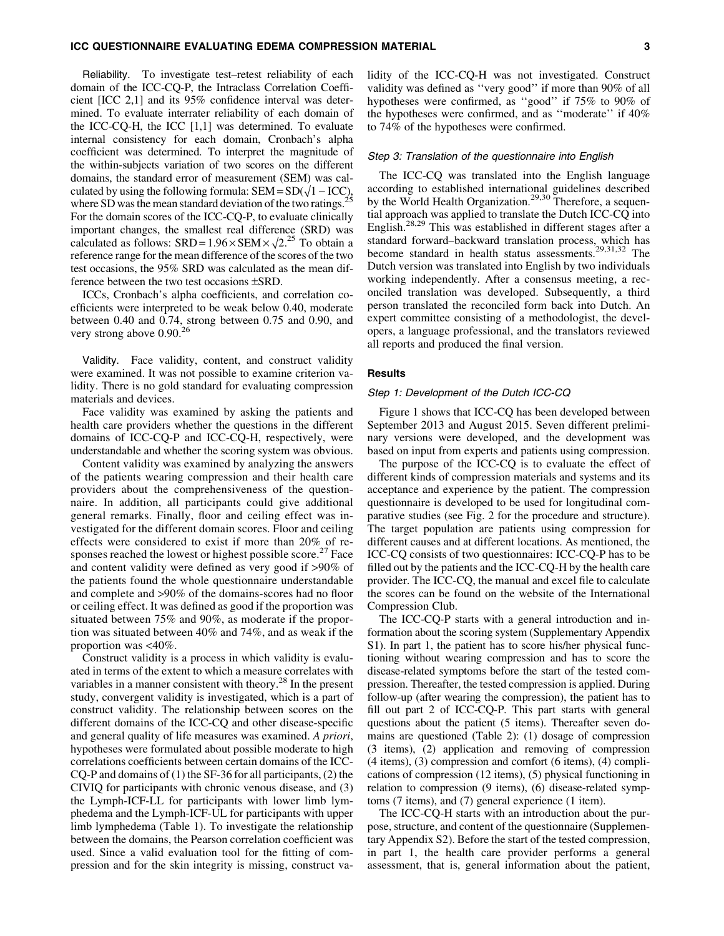Reliability. To investigate test–retest reliability of each domain of the ICC-CQ-P, the Intraclass Correlation Coefficient [ICC 2,1] and its 95% confidence interval was determined. To evaluate interrater reliability of each domain of the ICC-CQ-H, the ICC [1,1] was determined. To evaluate internal consistency for each domain, Cronbach's alpha coefficient was determined. To interpret the magnitude of the within-subjects variation of two scores on the different domains, the standard error of measurement (SEM) was calculated by using the following formula:  $SEM = SD(\sqrt{1 - ICC})$ , where SD was the mean standard deviation of the two ratings.<sup>25</sup> For the domain scores of the ICC-CQ-P, to evaluate clinically important changes, the smallest real difference (SRD) was calculated as follows:  $SRD = 1.96 \times SEM \times \sqrt{2.25}$  To obtain a reference range for the mean difference of the scores of the two test occasions, the 95% SRD was calculated as the mean difference between the two test occasions  $\pm$ SRD.

ICCs, Cronbach's alpha coefficients, and correlation coefficients were interpreted to be weak below 0.40, moderate between 0.40 and 0.74, strong between 0.75 and 0.90, and very strong above  $0.90^{26}$ 

Validity. Face validity, content, and construct validity were examined. It was not possible to examine criterion validity. There is no gold standard for evaluating compression materials and devices.

Face validity was examined by asking the patients and health care providers whether the questions in the different domains of ICC-CQ-P and ICC-CQ-H, respectively, were understandable and whether the scoring system was obvious.

Content validity was examined by analyzing the answers of the patients wearing compression and their health care providers about the comprehensiveness of the questionnaire. In addition, all participants could give additional general remarks. Finally, floor and ceiling effect was investigated for the different domain scores. Floor and ceiling effects were considered to exist if more than 20% of responses reached the lowest or highest possible score.<sup>27</sup> Face and content validity were defined as very good if >90% of the patients found the whole questionnaire understandable and complete and >90% of the domains-scores had no floor or ceiling effect. It was defined as good if the proportion was situated between 75% and 90%, as moderate if the proportion was situated between 40% and 74%, and as weak if the proportion was <40%.

Construct validity is a process in which validity is evaluated in terms of the extent to which a measure correlates with variables in a manner consistent with theory.<sup>28</sup> In the present study, convergent validity is investigated, which is a part of construct validity. The relationship between scores on the different domains of the ICC-CQ and other disease-specific and general quality of life measures was examined. *A priori*, hypotheses were formulated about possible moderate to high correlations coefficients between certain domains of the ICC-CQ-P and domains of (1) the SF-36 for all participants, (2) the CIVIQ for participants with chronic venous disease, and (3) the Lymph-ICF-LL for participants with lower limb lymphedema and the Lymph-ICF-UL for participants with upper limb lymphedema (Table 1). To investigate the relationship between the domains, the Pearson correlation coefficient was used. Since a valid evaluation tool for the fitting of compression and for the skin integrity is missing, construct validity of the ICC-CQ-H was not investigated. Construct validity was defined as ''very good'' if more than 90% of all hypotheses were confirmed, as ''good'' if 75% to 90% of the hypotheses were confirmed, and as ''moderate'' if 40% to 74% of the hypotheses were confirmed.

#### Step 3: Translation of the questionnaire into English

The ICC-CQ was translated into the English language according to established international guidelines described by the World Health Organization.<sup>29,30</sup> Therefore, a sequential approach was applied to translate the Dutch ICC-CQ into English.28,29 This was established in different stages after a standard forward–backward translation process, which has become standard in health status assessments.29,31,32 The Dutch version was translated into English by two individuals working independently. After a consensus meeting, a reconciled translation was developed. Subsequently, a third person translated the reconciled form back into Dutch. An expert committee consisting of a methodologist, the developers, a language professional, and the translators reviewed all reports and produced the final version.

#### Results

#### Step 1: Development of the Dutch ICC-CQ

Figure 1 shows that ICC-CQ has been developed between September 2013 and August 2015. Seven different preliminary versions were developed, and the development was based on input from experts and patients using compression.

The purpose of the ICC-CQ is to evaluate the effect of different kinds of compression materials and systems and its acceptance and experience by the patient. The compression questionnaire is developed to be used for longitudinal comparative studies (see Fig. 2 for the procedure and structure). The target population are patients using compression for different causes and at different locations. As mentioned, the ICC-CQ consists of two questionnaires: ICC-CQ-P has to be filled out by the patients and the ICC-CQ-H by the health care provider. The ICC-CQ, the manual and excel file to calculate the scores can be found on the website of the International Compression Club.

The ICC-CQ-P starts with a general introduction and information about the scoring system (Supplementary Appendix S1). In part 1, the patient has to score his/her physical functioning without wearing compression and has to score the disease-related symptoms before the start of the tested compression. Thereafter, the tested compression is applied. During follow-up (after wearing the compression), the patient has to fill out part 2 of ICC-CQ-P. This part starts with general questions about the patient (5 items). Thereafter seven domains are questioned (Table 2): (1) dosage of compression (3 items), (2) application and removing of compression (4 items), (3) compression and comfort (6 items), (4) complications of compression (12 items), (5) physical functioning in relation to compression (9 items), (6) disease-related symptoms (7 items), and (7) general experience (1 item).

The ICC-CQ-H starts with an introduction about the purpose, structure, and content of the questionnaire (Supplementary Appendix S2). Before the start of the tested compression, in part 1, the health care provider performs a general assessment, that is, general information about the patient,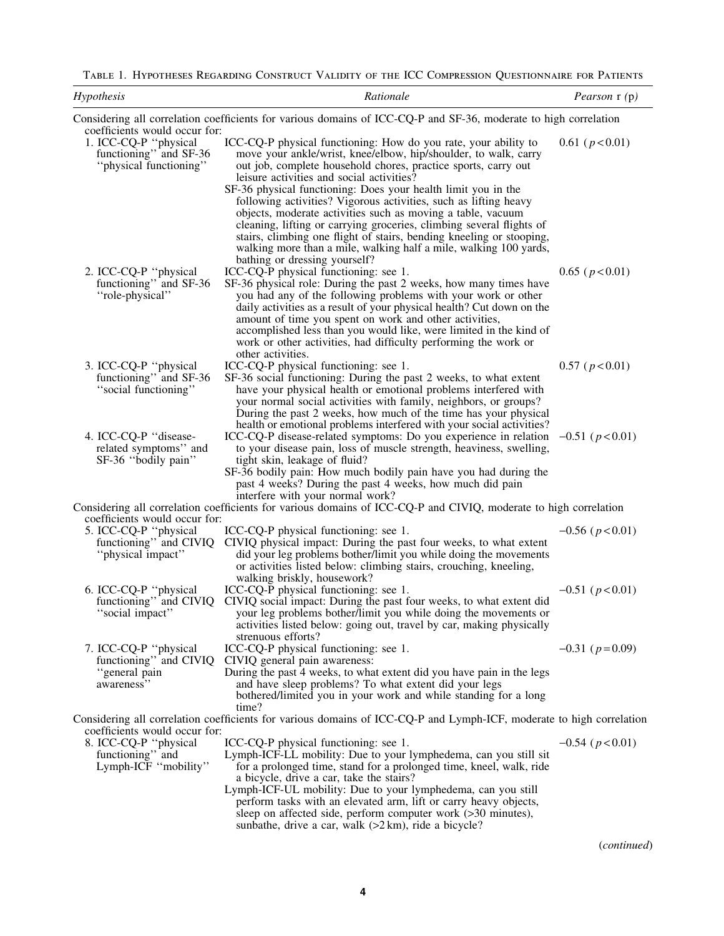Table 1. Hypotheses Regarding Construct Validity of the ICC Compression Questionnaire for Patients

| Hypothesis                                                                                                 | Rationale                                                                                                                                                                                                                                                                                                                                                                                                                                                                                                                                                          | Pearson r (p)          |
|------------------------------------------------------------------------------------------------------------|--------------------------------------------------------------------------------------------------------------------------------------------------------------------------------------------------------------------------------------------------------------------------------------------------------------------------------------------------------------------------------------------------------------------------------------------------------------------------------------------------------------------------------------------------------------------|------------------------|
|                                                                                                            | Considering all correlation coefficients for various domains of ICC-CQ-P and SF-36, moderate to high correlation                                                                                                                                                                                                                                                                                                                                                                                                                                                   |                        |
| coefficients would occur for:<br>1. ICC-CQ-P "physical<br>functioning" and SF-36<br>"physical functioning" | ICC-CQ-P physical functioning: How do you rate, your ability to<br>move your ankle/wrist, knee/elbow, hip/shoulder, to walk, carry<br>out job, complete household chores, practice sports, carry out<br>leisure activities and social activities?<br>SF-36 physical functioning: Does your health limit you in the<br>following activities? Vigorous activities, such as lifting heavy<br>objects, moderate activities such as moving a table, vacuum<br>cleaning, lifting or carrying groceries, climbing several flights of                                      | $0.61$ ( $p < 0.01$ )  |
| 2. ICC-CQ-P "physical<br>functioning" and SF-36<br>"role-physical"                                         | stairs, climbing one flight of stairs, bending kneeling or stooping,<br>walking more than a mile, walking half a mile, walking 100 yards,<br>bathing or dressing yourself?<br>ICC-CQ-P physical functioning: see 1.<br>SF-36 physical role: During the past 2 weeks, how many times have<br>you had any of the following problems with your work or other<br>daily activities as a result of your physical health? Cut down on the<br>amount of time you spent on work and other activities,<br>accomplished less than you would like, were limited in the kind of | $0.65$ ( $p < 0.01$ )  |
| 3. ICC-CQ-P "physical<br>functioning" and SF-36                                                            | work or other activities, had difficulty performing the work or<br>other activities.<br>ICC-CQ-P physical functioning: see 1.<br>SF-36 social functioning: During the past 2 weeks, to what extent                                                                                                                                                                                                                                                                                                                                                                 | $0.57$ ( $p < 0.01$ )  |
| "social functioning"                                                                                       | have your physical health or emotional problems interfered with<br>your normal social activities with family, neighbors, or groups?<br>During the past 2 weeks, how much of the time has your physical<br>health or emotional problems interfered with your social activities?                                                                                                                                                                                                                                                                                     |                        |
| 4. ICC-CQ-P "disease-<br>related symptoms" and<br>SF-36 "bodily pain"                                      | ICC-CQ-P disease-related symptoms: Do you experience in relation<br>to your disease pain, loss of muscle strength, heaviness, swelling,<br>tight skin, leakage of fluid?<br>SF-36 bodily pain: How much bodily pain have you had during the<br>past 4 weeks? During the past 4 weeks, how much did pain                                                                                                                                                                                                                                                            | $-0.51$ ( $p < 0.01$ ) |
|                                                                                                            | interfere with your normal work?<br>Considering all correlation coefficients for various domains of ICC-CQ-P and CIVIQ, moderate to high correlation                                                                                                                                                                                                                                                                                                                                                                                                               |                        |
| coefficients would occur for:<br>5. ICC-CQ-P "physical<br>functioning" and CIVIQ<br>"physical impact"      | ICC-CQ-P physical functioning: see 1.<br>CIVIQ physical impact: During the past four weeks, to what extent<br>did your leg problems bother/limit you while doing the movements<br>or activities listed below: climbing stairs, crouching, kneeling,                                                                                                                                                                                                                                                                                                                | $-0.56$ ( $p < 0.01$ ) |
| 6. ICC-CQ-P "physical<br>functioning" and CIVIQ<br>"social impact"                                         | walking briskly, housework?<br>ICC-CQ-P physical functioning: see 1.<br>CIVIQ social impact: During the past four weeks, to what extent did<br>your leg problems bother/limit you while doing the movements or<br>activities listed below: going out, travel by car, making physically                                                                                                                                                                                                                                                                             | $-0.51$ ( $p < 0.01$ ) |
| 7. ICC-CQ-P "physical<br>functioning" and CIVIQ<br>"general pain<br>awareness"                             | strenuous efforts?<br>ICC-CQ-P physical functioning: see 1.<br>CIVIQ general pain awareness:<br>During the past 4 weeks, to what extent did you have pain in the legs<br>and have sleep problems? To what extent did your legs<br>bothered/limited you in your work and while standing for a long                                                                                                                                                                                                                                                                  | $-0.31$ ( $p=0.09$ )   |
| coefficients would occur for:                                                                              | time?<br>Considering all correlation coefficients for various domains of ICC-CQ-P and Lymph-ICF, moderate to high correlation                                                                                                                                                                                                                                                                                                                                                                                                                                      |                        |
| 8. ICC-CQ-P "physical<br>functioning" and<br>Lymph-ICF "mobility"                                          | ICC-CQ-P physical functioning: see 1.<br>Lymph-ICF-LL mobility: Due to your lymphedema, can you still sit<br>for a prolonged time, stand for a prolonged time, kneel, walk, ride<br>a bicycle, drive a car, take the stairs?<br>Lymph-ICF-UL mobility: Due to your lymphedema, can you still<br>perform tasks with an elevated arm, lift or carry heavy objects,<br>sleep on affected side, perform computer work (>30 minutes),<br>sunbathe, drive a car, walk $(>2 \text{ km})$ , ride a bicycle?                                                                | $-0.54$ ( $p < 0.01$ ) |

(*continued*)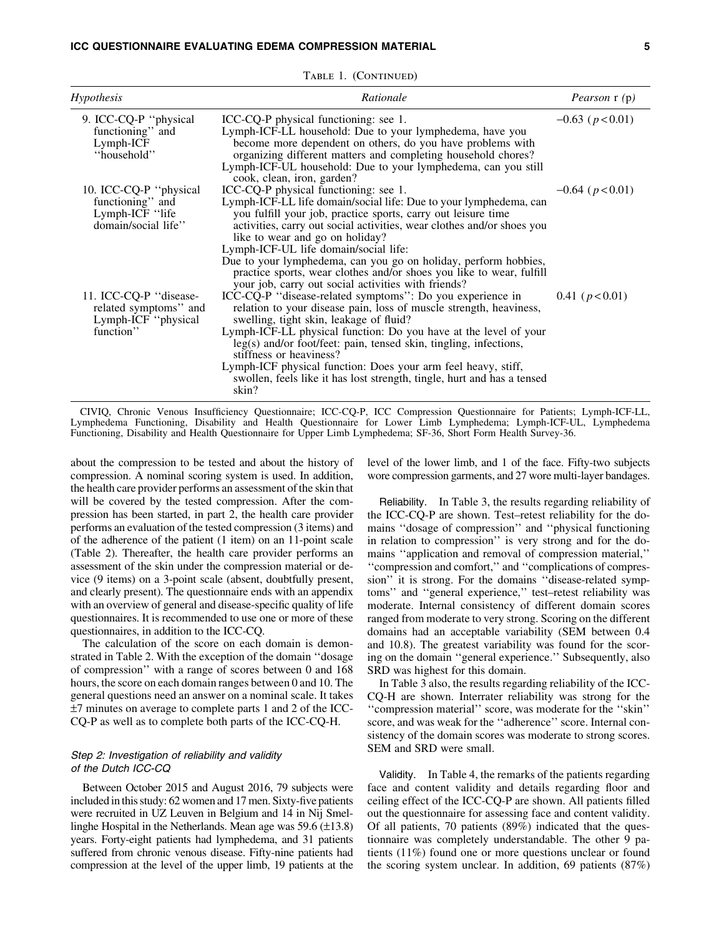#### ICC QUESTIONNAIRE EVALUATING EDEMA COMPRESSION MATERIAL 5

| Hypothesis                                                                            | Rationale                                                                                                                                                                                                                                                                                                                                                                                                                                                                                                                           | <i>Pearson</i> r (p)   |
|---------------------------------------------------------------------------------------|-------------------------------------------------------------------------------------------------------------------------------------------------------------------------------------------------------------------------------------------------------------------------------------------------------------------------------------------------------------------------------------------------------------------------------------------------------------------------------------------------------------------------------------|------------------------|
| 9. ICC-CQ-P "physical<br>functioning" and<br>Lymph-ICF<br>"household"                 | ICC-CQ-P physical functioning: see 1.<br>Lymph-ICF-LL household: Due to your lymphedema, have you<br>become more dependent on others, do you have problems with<br>organizing different matters and completing household chores?<br>Lymph-ICF-UL household: Due to your lymphedema, can you still<br>cook, clean, iron, garden?                                                                                                                                                                                                     | $-0.63$ ( $p < 0.01$ ) |
| 10. ICC-CQ-P "physical"<br>functioning" and<br>Lymph-ICF "life<br>domain/social life" | ICC-CQ-P physical functioning: see 1.<br>Lymph-ICF-LL life domain/social life: Due to your lymphedema, can<br>you fulfill your job, practice sports, carry out leisure time<br>activities, carry out social activities, wear clothes and/or shoes you<br>like to wear and go on holiday?<br>Lymph-ICF-UL life domain/social life:<br>Due to your lymphedema, can you go on holiday, perform hobbies,<br>practice sports, wear clothes and/or shoes you like to wear, fulfill<br>your job, carry out social activities with friends? | $-0.64$ ( $p < 0.01$ ) |
| 11. ICC-CQ-P "disease-<br>related symptoms" and<br>Lymph-ICF "physical<br>function"   | ICC-CQ-P "disease-related symptoms": Do you experience in<br>relation to your disease pain, loss of muscle strength, heaviness,<br>swelling, tight skin, leakage of fluid?<br>Lymph-ICF-LL physical function: Do you have at the level of your<br>leg(s) and/or foot/feet: pain, tensed skin, tingling, infections,<br>stiffness or heaviness?<br>Lymph-ICF physical function: Does your arm feel heavy, stiff,<br>swollen, feels like it has lost strength, tingle, hurt and has a tensed<br>skin?                                 | 0.41 ( $p < 0.01$ )    |

TABLE 1. (CONTINUED)

CIVIQ, Chronic Venous Insufficiency Questionnaire; ICC-CQ-P, ICC Compression Questionnaire for Patients; Lymph-ICF-LL, Lymphedema Functioning, Disability and Health Questionnaire for Lower Limb Lymphedema; Lymph-ICF-UL, Lymphedema Functioning, Disability and Health Questionnaire for Upper Limb Lymphedema; SF-36, Short Form Health Survey-36.

about the compression to be tested and about the history of compression. A nominal scoring system is used. In addition, the health care provider performs an assessment of the skin that will be covered by the tested compression. After the compression has been started, in part 2, the health care provider performs an evaluation of the tested compression (3 items) and of the adherence of the patient (1 item) on an 11-point scale (Table 2). Thereafter, the health care provider performs an assessment of the skin under the compression material or device (9 items) on a 3-point scale (absent, doubtfully present, and clearly present). The questionnaire ends with an appendix with an overview of general and disease-specific quality of life questionnaires. It is recommended to use one or more of these questionnaires, in addition to the ICC-CQ.

The calculation of the score on each domain is demonstrated in Table 2. With the exception of the domain ''dosage of compression'' with a range of scores between 0 and 168 hours, the score on each domain ranges between 0 and 10. The general questions need an answer on a nominal scale. It takes –7 minutes on average to complete parts 1 and 2 of the ICC-CQ-P as well as to complete both parts of the ICC-CQ-H.

# Step 2: Investigation of reliability and validity of the Dutch ICC-CQ

Between October 2015 and August 2016, 79 subjects were included in this study: 62 women and 17 men. Sixty-five patients were recruited in UZ Leuven in Belgium and 14 in Nij Smellinghe Hospital in the Netherlands. Mean age was  $59.6 \, (\pm 13.8)$ years. Forty-eight patients had lymphedema, and 31 patients suffered from chronic venous disease. Fifty-nine patients had compression at the level of the upper limb, 19 patients at the level of the lower limb, and 1 of the face. Fifty-two subjects wore compression garments, and 27 wore multi-layer bandages.

Reliability. In Table 3, the results regarding reliability of the ICC-CQ-P are shown. Test–retest reliability for the domains ''dosage of compression'' and ''physical functioning in relation to compression'' is very strong and for the domains ''application and removal of compression material,'' ''compression and comfort,'' and ''complications of compression" it is strong. For the domains "disease-related symptoms'' and ''general experience,'' test–retest reliability was moderate. Internal consistency of different domain scores ranged from moderate to very strong. Scoring on the different domains had an acceptable variability (SEM between 0.4 and 10.8). The greatest variability was found for the scoring on the domain ''general experience.'' Subsequently, also SRD was highest for this domain.

In Table 3 also, the results regarding reliability of the ICC-CQ-H are shown. Interrater reliability was strong for the ''compression material'' score, was moderate for the ''skin'' score, and was weak for the ''adherence'' score. Internal consistency of the domain scores was moderate to strong scores. SEM and SRD were small.

Validity. In Table 4, the remarks of the patients regarding face and content validity and details regarding floor and ceiling effect of the ICC-CQ-P are shown. All patients filled out the questionnaire for assessing face and content validity. Of all patients, 70 patients (89%) indicated that the questionnaire was completely understandable. The other 9 patients (11%) found one or more questions unclear or found the scoring system unclear. In addition, 69 patients (87%)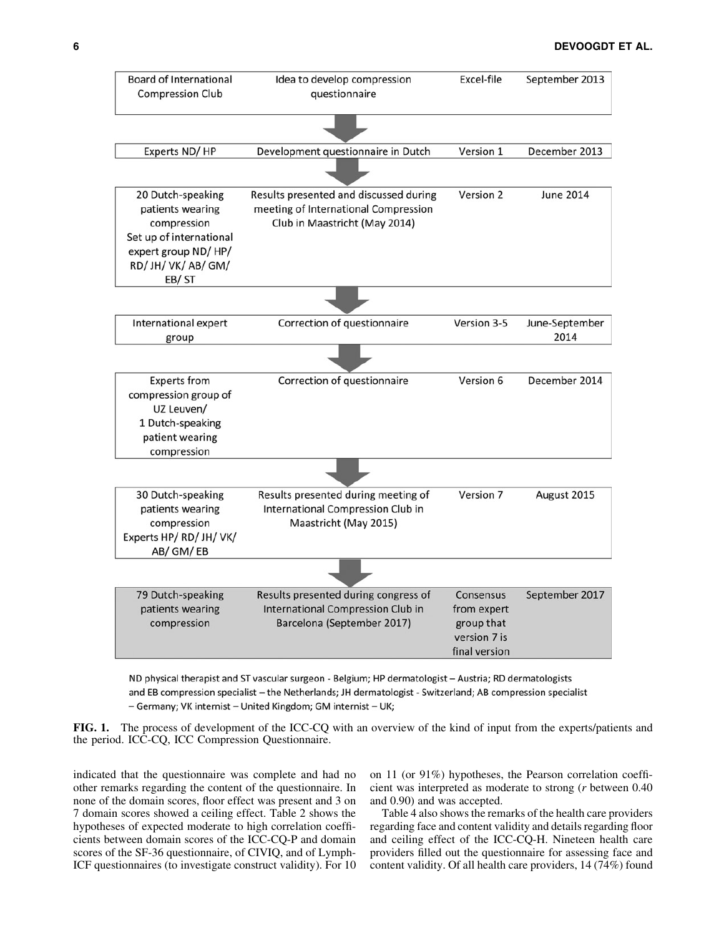

ND physical therapist and ST vascular surgeon - Belgium; HP dermatologist - Austria; RD dermatologists and EB compression specialist – the Netherlands; JH dermatologist - Switzerland; AB compression specialist - Germany; VK internist - United Kingdom; GM internist - UK;

FIG. 1. The process of development of the ICC-CQ with an overview of the kind of input from the experts/patients and the period. ICC-CQ, ICC Compression Questionnaire.

indicated that the questionnaire was complete and had no other remarks regarding the content of the questionnaire. In none of the domain scores, floor effect was present and 3 on 7 domain scores showed a ceiling effect. Table 2 shows the hypotheses of expected moderate to high correlation coefficients between domain scores of the ICC-CQ-P and domain scores of the SF-36 questionnaire, of CIVIQ, and of Lymph-ICF questionnaires (to investigate construct validity). For 10 on 11 (or 91%) hypotheses, the Pearson correlation coefficient was interpreted as moderate to strong (*r* between 0.40 and 0.90) and was accepted.

Table 4 also shows the remarks of the health care providers regarding face and content validity and details regarding floor and ceiling effect of the ICC-CQ-H. Nineteen health care providers filled out the questionnaire for assessing face and content validity. Of all health care providers, 14 (74%) found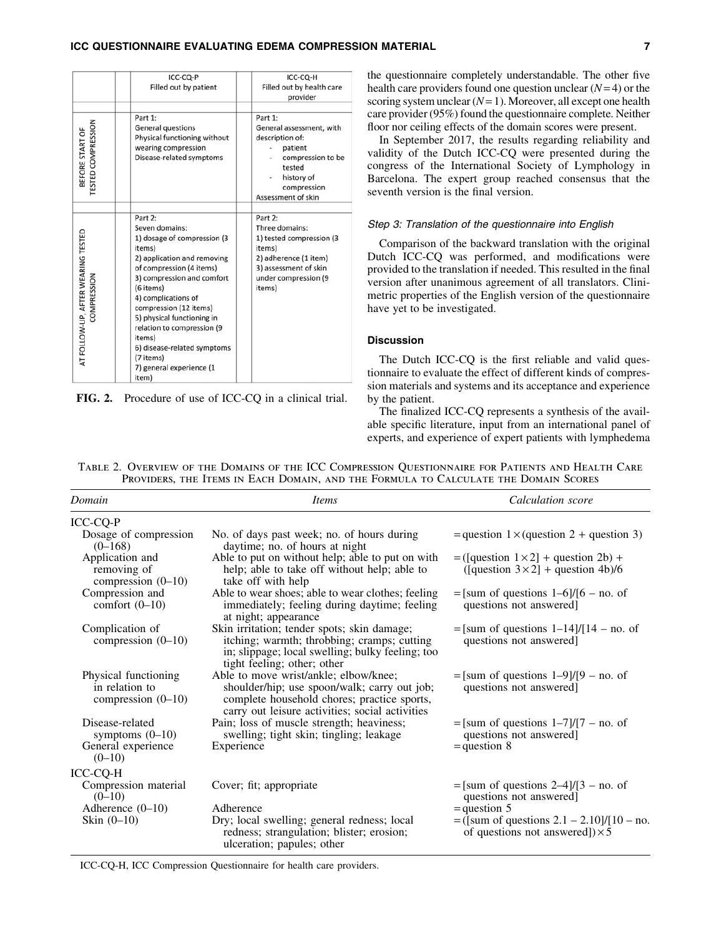#### ICC QUESTIONNAIRE EVALUATING EDEMA COMPRESSION MATERIAL **THE** CONSTRUCT ON A 2

|                                                   | ICC-CQ-P<br>Filled out by patient                                                                                                                                                                                                                                                                                                                                                | ICC-CQ-H<br>Filled out by health care<br>provider                                                                                                   |
|---------------------------------------------------|----------------------------------------------------------------------------------------------------------------------------------------------------------------------------------------------------------------------------------------------------------------------------------------------------------------------------------------------------------------------------------|-----------------------------------------------------------------------------------------------------------------------------------------------------|
| BEFORE START OF<br>TESTED COMPRESSION             | Part 1:<br>General questions<br>Physical functioning without<br>wearing compression<br>Disease-related symptoms                                                                                                                                                                                                                                                                  | Part 1:<br>General assessment, with<br>description of:<br>patient<br>compression to be<br>tested<br>history of<br>compression<br>Assessment of skin |
| AT FOLLOW-UP, AFTER WEARING TESTED<br>COMPRESSION | Part 2:<br>Seven domains:<br>1) dosage of compression (3<br>items)<br>2) application and removing<br>of compression (4 items)<br>3) compression and comfort<br>(6 items)<br>4) complications of<br>compression (12 items)<br>5) physical functioning in<br>relation to compression (9<br>items)<br>6) disease-related symptoms<br>(7 items)<br>7) general experience (1<br>item) | Part 2:<br>Three domains:<br>1) tested compression (3<br>items)<br>2) adherence (1 item)<br>3) assessment of skin<br>under compression (9<br>items) |

FIG. 2. Procedure of use of ICC-CQ in a clinical trial.

the questionnaire completely understandable. The other five health care providers found one question unclear (*N*= 4) or the scoring system unclear (*N*= 1). Moreover, all except one health care provider (95%) found the questionnaire complete. Neither floor nor ceiling effects of the domain scores were present.

In September 2017, the results regarding reliability and validity of the Dutch ICC-CQ were presented during the congress of the International Society of Lymphology in Barcelona. The expert group reached consensus that the seventh version is the final version.

#### Step 3: Translation of the questionnaire into English

Comparison of the backward translation with the original Dutch ICC-CQ was performed, and modifications were provided to the translation if needed. This resulted in the final version after unanimous agreement of all translators. Clinimetric properties of the English version of the questionnaire have yet to be investigated.

#### **Discussion**

The Dutch ICC-CQ is the first reliable and valid questionnaire to evaluate the effect of different kinds of compression materials and systems and its acceptance and experience by the patient.

The finalized ICC-CQ represents a synthesis of the available specific literature, input from an international panel of experts, and experience of expert patients with lymphedema

Table 2. Overview of the Domains of the ICC Compression Questionnaire for Patients and Health Care Providers, the Items in Each Domain, and the Formula to Calculate the Domain Scores

| Domain                                                         | <i>Items</i>                                                                                                                                                                            | Calculation score                                                                       |
|----------------------------------------------------------------|-----------------------------------------------------------------------------------------------------------------------------------------------------------------------------------------|-----------------------------------------------------------------------------------------|
| ICC-CQ-P                                                       |                                                                                                                                                                                         |                                                                                         |
| Dosage of compression<br>$(0-168)$                             | No. of days past week; no. of hours during<br>daytime; no. of hours at night                                                                                                            | $=$ question 1 $\times$ (question 2 + question 3)                                       |
| Application and<br>removing of<br>compression $(0-10)$         | Able to put on without help; able to put on with<br>help; able to take off without help; able to<br>take off with help                                                                  | $= ($ [question 1×2] + question 2b) +<br>([question $3 \times 2$ ] + question 4b)/6     |
| Compression and<br>comfort $(0-10)$                            | Able to wear shoes; able to wear clothes; feeling<br>immediately; feeling during daytime; feeling<br>at night; appearance                                                               | $=[\text{sum of questions }1-6]/[6 - \text{no. of}]$<br>questions not answered]         |
| Complication of<br>compression $(0-10)$                        | Skin irritation; tender spots; skin damage;<br>itching; warmth; throbbing; cramps; cutting<br>in; slippage; local swelling; bulky feeling; too<br>tight feeling; other; other           | $=[\text{sum of questions }1-14]/[14 - \text{no. of}]$<br>questions not answered]       |
| Physical functioning<br>in relation to<br>compression $(0-10)$ | Able to move wrist/ankle; elbow/knee;<br>shoulder/hip; use spoon/walk; carry out job;<br>complete household chores; practice sports,<br>carry out leisure activities; social activities | $=[\text{sum of questions }1-9]/[9 - \text{no. of}]$<br>questions not answered]         |
| Disease-related<br>symptoms $(0-10)$                           | Pain; loss of muscle strength; heaviness;<br>swelling; tight skin; tingling; leakage                                                                                                    | $=[sum of questions 1-7]/[7 - no. of$<br>questions not answered]                        |
| General experience<br>$(0-10)$                                 | Experience                                                                                                                                                                              | $=$ question 8                                                                          |
| ICC-CQ-H                                                       |                                                                                                                                                                                         |                                                                                         |
| Compression material<br>$(0-10)$                               | Cover; fit; appropriate                                                                                                                                                                 | $=[\text{sum of questions } 2-4]/[3 - \text{no. of}]$<br>questions not answered]        |
| Adherence $(0-10)$                                             | Adherence                                                                                                                                                                               | $=$ question 5                                                                          |
| Skin $(0-10)$                                                  | Dry; local swelling; general redness; local<br>redness; strangulation; blister; erosion;<br>ulceration; papules; other                                                                  | = ([sum of questions $2.1 - 2.10$ ]/[10 – no.<br>of questions not answered]) $\times$ 5 |

ICC-CQ-H, ICC Compression Questionnaire for health care providers.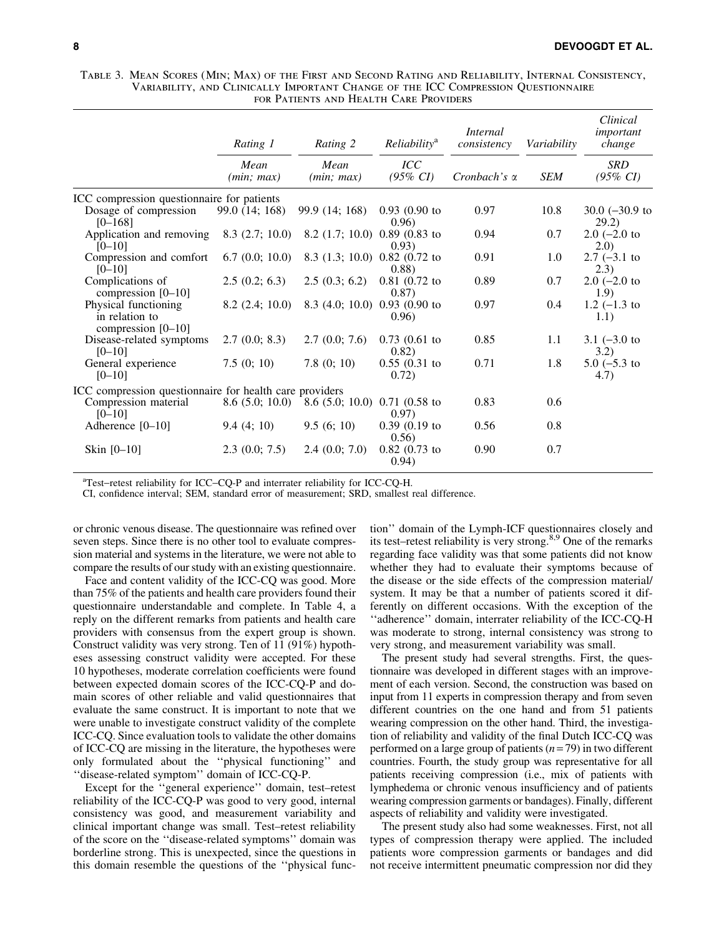Table 3. Mean Scores (Min; Max) of the First and Second Rating and Reliability, Internal Consistency, Variability, and Clinically Important Change of the ICC Compression Questionnaire for Patients and Health Care Providers

|                                                              | Rating 1<br>Mean<br>(min; max) | Rating 2<br>Mean<br>(min; max)            | <i>Reliability</i> <sup>a</sup> | <i>Internal</i><br>consistency<br>Cronbach's $\alpha$ | Variability<br><b>SEM</b> | Clinical<br>important<br>change<br><b>SRD</b><br>$(95\% \; CI)$ |
|--------------------------------------------------------------|--------------------------------|-------------------------------------------|---------------------------------|-------------------------------------------------------|---------------------------|-----------------------------------------------------------------|
|                                                              |                                |                                           | ICC<br>$(95\% \; CI)$           |                                                       |                           |                                                                 |
| ICC compression questionnaire for patients                   |                                |                                           |                                 |                                                       |                           |                                                                 |
| Dosage of compression<br>$[0 - 168]$                         | 99.0 (14; 168)                 | 99.9 (14; 168)                            | $0.93(0.90)$ to<br>0.96         | 0.97                                                  | 10.8                      | $30.0$ (-30.9 to<br>29.2)                                       |
| Application and removing<br>$[0 - 10]$                       | $8.3$ (2.7; 10.0)              | 8.2 $(1.7; 10.0)$ 0.89 $(0.83$ to         | (0.93)                          | 0.94                                                  | 0.7                       | $2.0$ (-2.0 to<br>2.0                                           |
| Compression and comfort<br>$[0 - 10]$                        | 6.7(0.0; 10.0)                 | 8.3 (1.3; 10.0) 0.82 (0.72 to             | (0.88)                          | 0.91                                                  | $1.0\,$                   | $2.7$ (-3.1 to<br>(2.3)                                         |
| Complications of<br>compression $[0-10]$                     | 2.5(0.2; 6.3)                  | 2.5(0.3; 6.2)                             | $0.81$ (0.72 to<br>(0.87)       | 0.89                                                  | 0.7                       | $2.0$ (-2.0 to<br>1.9)                                          |
| Physical functioning<br>in relation to<br>compression [0-10] | $8.2$ (2.4; 10.0)              | 8.3 (4.0; 10.0) 0.93 (0.90 to             | 0.96                            | 0.97                                                  | 0.4                       | $1.2$ (-1.3 to<br>1.1)                                          |
| Disease-related symptoms<br>$[0 - 10]$                       | 2.7(0.0; 8.3)                  | 2.7(0.0; 7.6)                             | $0.73$ (0.61 to<br>0.82)        | 0.85                                                  | 1.1                       | $3.1 (-3.0)$ to<br>3.2)                                         |
| General experience<br>$[0 - 10]$                             | 7.5(0; 10)                     | 7.8(0; 10)                                | $0.55(0.31)$ to<br>0.72)        | 0.71                                                  | 1.8                       | $5.0$ ( $-5.3$ to<br>4.7)                                       |
| ICC compression questionnaire for health care providers      |                                |                                           |                                 |                                                       |                           |                                                                 |
| Compression material<br>$[0 - 10]$                           | 8.6(5.0; 10.0)                 | 8.6 $(5.0; 10.0)$ 0.71 $(0.58 \text{ to}$ | 0.97)                           | 0.83                                                  | 0.6                       |                                                                 |
| Adherence $[0-10]$                                           | 9.4(4; 10)                     | 9.5(6; 10)                                | $0.39(0.19)$ to<br>0.56)        | 0.56                                                  | 0.8                       |                                                                 |
| Skin [0-10]                                                  | 2.3(0.0; 7.5)                  | 2.4(0.0; 7.0)                             | $0.82$ (0.73 to<br>0.94)        | 0.90                                                  | 0.7                       |                                                                 |

<sup>a</sup>Test-retest reliability for ICC-CQ-P and interrater reliability for ICC-CQ-H.

CI, confidence interval; SEM, standard error of measurement; SRD, smallest real difference.

or chronic venous disease. The questionnaire was refined over seven steps. Since there is no other tool to evaluate compression material and systems in the literature, we were not able to compare the results of our study with an existing questionnaire.

Face and content validity of the ICC-CQ was good. More than 75% of the patients and health care providers found their questionnaire understandable and complete. In Table 4, a reply on the different remarks from patients and health care providers with consensus from the expert group is shown. Construct validity was very strong. Ten of 11 (91%) hypotheses assessing construct validity were accepted. For these 10 hypotheses, moderate correlation coefficients were found between expected domain scores of the ICC-CQ-P and domain scores of other reliable and valid questionnaires that evaluate the same construct. It is important to note that we were unable to investigate construct validity of the complete ICC-CQ. Since evaluation tools to validate the other domains of ICC-CQ are missing in the literature, the hypotheses were only formulated about the ''physical functioning'' and ''disease-related symptom'' domain of ICC-CQ-P.

Except for the ''general experience'' domain, test–retest reliability of the ICC-CQ-P was good to very good, internal consistency was good, and measurement variability and clinical important change was small. Test–retest reliability of the score on the ''disease-related symptoms'' domain was borderline strong. This is unexpected, since the questions in this domain resemble the questions of the ''physical function'' domain of the Lymph-ICF questionnaires closely and its test–retest reliability is very strong.8,9 One of the remarks regarding face validity was that some patients did not know whether they had to evaluate their symptoms because of the disease or the side effects of the compression material/ system. It may be that a number of patients scored it differently on different occasions. With the exception of the ''adherence'' domain, interrater reliability of the ICC-CQ-H was moderate to strong, internal consistency was strong to very strong, and measurement variability was small.

The present study had several strengths. First, the questionnaire was developed in different stages with an improvement of each version. Second, the construction was based on input from 11 experts in compression therapy and from seven different countries on the one hand and from 51 patients wearing compression on the other hand. Third, the investigation of reliability and validity of the final Dutch ICC-CQ was performed on a large group of patients (*n* = 79) in two different countries. Fourth, the study group was representative for all patients receiving compression (i.e., mix of patients with lymphedema or chronic venous insufficiency and of patients wearing compression garments or bandages). Finally, different aspects of reliability and validity were investigated.

The present study also had some weaknesses. First, not all types of compression therapy were applied. The included patients wore compression garments or bandages and did not receive intermittent pneumatic compression nor did they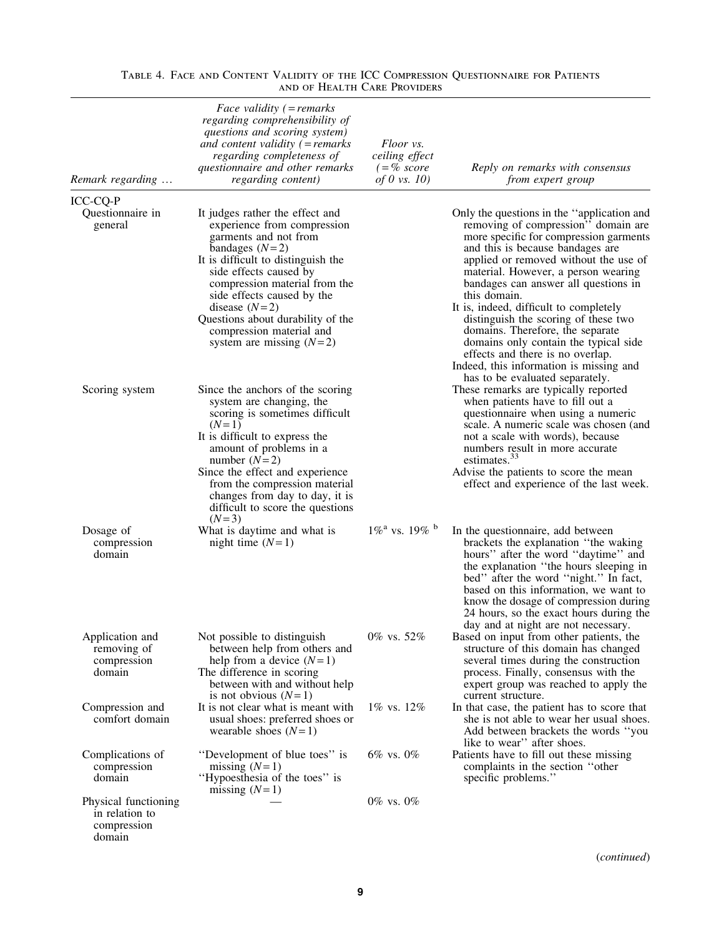| Remark regarding                                                | <i>Face validity</i> $($ = <i>remarks</i><br>regarding comprehensibility of<br>questions and scoring system)<br>and content validity $($ = remarks<br>regarding completeness of<br>questionnaire and other remarks<br>regarding content)                                                                                                                     | Floor vs.<br>ceiling effect<br>$( =\% \; score$<br>of 0 vs. $10$ ) | Reply on remarks with consensus<br>from expert group                                                                                                                                                                                                                                                                                                                                                                                                                                                                                                  |
|-----------------------------------------------------------------|--------------------------------------------------------------------------------------------------------------------------------------------------------------------------------------------------------------------------------------------------------------------------------------------------------------------------------------------------------------|--------------------------------------------------------------------|-------------------------------------------------------------------------------------------------------------------------------------------------------------------------------------------------------------------------------------------------------------------------------------------------------------------------------------------------------------------------------------------------------------------------------------------------------------------------------------------------------------------------------------------------------|
| ICC-CQ-P<br>Questionnaire in<br>general                         | It judges rather the effect and<br>experience from compression<br>garments and not from<br>bandages $(N=2)$<br>It is difficult to distinguish the<br>side effects caused by<br>compression material from the<br>side effects caused by the<br>disease $(N=2)$<br>Questions about durability of the<br>compression material and<br>system are missing $(N=2)$ |                                                                    | Only the questions in the "application and<br>removing of compression" domain are<br>more specific for compression garments<br>and this is because bandages are<br>applied or removed without the use of<br>material. However, a person wearing<br>bandages can answer all questions in<br>this domain.<br>It is, indeed, difficult to completely<br>distinguish the scoring of these two<br>domains. Therefore, the separate<br>domains only contain the typical side<br>effects and there is no overlap.<br>Indeed, this information is missing and |
| Scoring system                                                  | Since the anchors of the scoring<br>system are changing, the<br>scoring is sometimes difficult<br>$(N=1)$<br>It is difficult to express the<br>amount of problems in a<br>number $(N=2)$<br>Since the effect and experience<br>from the compression material<br>changes from day to day, it is<br>difficult to score the questions                           |                                                                    | has to be evaluated separately.<br>These remarks are typically reported<br>when patients have to fill out a<br>questionnaire when using a numeric<br>scale. A numeric scale was chosen (and<br>not a scale with words), because<br>numbers result in more accurate<br>estimates. <sup>33</sup><br>Advise the patients to score the mean<br>effect and experience of the last week.                                                                                                                                                                    |
| Dosage of<br>compression<br>domain                              | $(N=3)$<br>What is daytime and what is<br>night time $(N=1)$                                                                                                                                                                                                                                                                                                 | $1\%$ <sup>a</sup> vs. $19\%$ <sup>b</sup>                         | In the questionnaire, add between<br>brackets the explanation "the waking<br>hours" after the word "daytime" and<br>the explanation "the hours sleeping in<br>bed" after the word "night." In fact,<br>based on this information, we want to<br>know the dosage of compression during<br>24 hours, so the exact hours during the                                                                                                                                                                                                                      |
| Application and<br>removing of<br>compression<br>domain         | Not possible to distinguish<br>between help from others and<br>help from a device $(N=1)$<br>The difference in scoring<br>between with and without help<br>is not obvious $(N=1)$                                                                                                                                                                            | 0% vs. 52%                                                         | day and at night are not necessary.<br>Based on input from other patients, the<br>structure of this domain has changed<br>several times during the construction<br>process. Finally, consensus with the<br>expert group was reached to apply the<br>current structure.                                                                                                                                                                                                                                                                                |
| Compression and<br>comfort domain                               | It is not clear what is meant with<br>usual shoes: preferred shoes or<br>wearable shoes $(N=1)$                                                                                                                                                                                                                                                              | 1% vs. 12%                                                         | In that case, the patient has to score that<br>she is not able to wear her usual shoes.<br>Add between brackets the words "you<br>like to wear" after shoes.                                                                                                                                                                                                                                                                                                                                                                                          |
| Complications of<br>compression<br>domain                       | "Development of blue toes" is<br>missing $(N=1)$<br>"Hypoesthesia of the toes" is<br>missing $(N=1)$                                                                                                                                                                                                                                                         | $6\%$ vs. $0\%$                                                    | Patients have to fill out these missing<br>complaints in the section "other<br>specific problems."                                                                                                                                                                                                                                                                                                                                                                                                                                                    |
| Physical functioning<br>in relation to<br>compression<br>domain |                                                                                                                                                                                                                                                                                                                                                              | $0\%$ vs. $0\%$                                                    |                                                                                                                                                                                                                                                                                                                                                                                                                                                                                                                                                       |

# Table 4. Face and Content Validity of the ICC Compression Questionnaire for Patients and of Health Care Providers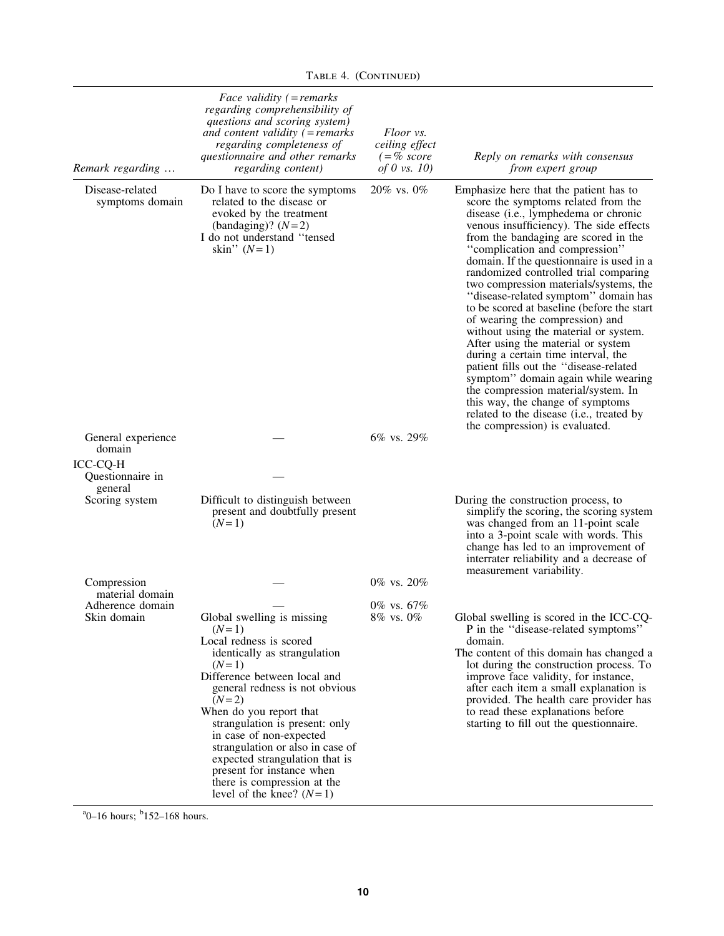| Remark regarding                        | Face validity $($ = remarks<br>regarding comprehensibility of<br>questions and scoring system)<br>and content validity $($ = remarks<br>regarding completeness of<br>questionnaire and other remarks<br>regarding content)                                                                                                                                                                                                                       | Floor vs.<br>ceiling effect<br>$( = % score$<br>of 0 vs. $10$ ) | Reply on remarks with consensus<br>from expert group                                                                                                                                                                                                                                                                                                                                                                                                                                                                                                                                                                                                                                                                                                                                                                                                                |
|-----------------------------------------|--------------------------------------------------------------------------------------------------------------------------------------------------------------------------------------------------------------------------------------------------------------------------------------------------------------------------------------------------------------------------------------------------------------------------------------------------|-----------------------------------------------------------------|---------------------------------------------------------------------------------------------------------------------------------------------------------------------------------------------------------------------------------------------------------------------------------------------------------------------------------------------------------------------------------------------------------------------------------------------------------------------------------------------------------------------------------------------------------------------------------------------------------------------------------------------------------------------------------------------------------------------------------------------------------------------------------------------------------------------------------------------------------------------|
| Disease-related<br>symptoms domain      | Do I have to score the symptoms<br>related to the disease or<br>evoked by the treatment<br>(bandaging)? $(N=2)$<br>I do not understand "tensed<br>skin" $(N=1)$                                                                                                                                                                                                                                                                                  | $20\%$ vs. $0\%$                                                | Emphasize here that the patient has to<br>score the symptoms related from the<br>disease (i.e., lymphedema or chronic<br>venous insufficiency). The side effects<br>from the bandaging are scored in the<br>"complication and compression"<br>domain. If the questionnaire is used in a<br>randomized controlled trial comparing<br>two compression materials/systems, the<br>"disease-related symptom" domain has<br>to be scored at baseline (before the start<br>of wearing the compression) and<br>without using the material or system.<br>After using the material or system<br>during a certain time interval, the<br>patient fills out the "disease-related<br>symptom" domain again while wearing<br>the compression material/system. In<br>this way, the change of symptoms<br>related to the disease (i.e., treated by<br>the compression) is evaluated. |
| General experience<br>domain            |                                                                                                                                                                                                                                                                                                                                                                                                                                                  | 6% vs. 29%                                                      |                                                                                                                                                                                                                                                                                                                                                                                                                                                                                                                                                                                                                                                                                                                                                                                                                                                                     |
| ICC-CQ-H<br>Questionnaire in<br>general |                                                                                                                                                                                                                                                                                                                                                                                                                                                  |                                                                 |                                                                                                                                                                                                                                                                                                                                                                                                                                                                                                                                                                                                                                                                                                                                                                                                                                                                     |
| Scoring system                          | Difficult to distinguish between<br>present and doubtfully present<br>$(N=1)$                                                                                                                                                                                                                                                                                                                                                                    |                                                                 | During the construction process, to<br>simplify the scoring, the scoring system<br>was changed from an 11-point scale<br>into a 3-point scale with words. This<br>change has led to an improvement of<br>interrater reliability and a decrease of<br>measurement variability.                                                                                                                                                                                                                                                                                                                                                                                                                                                                                                                                                                                       |
| Compression<br>material domain          |                                                                                                                                                                                                                                                                                                                                                                                                                                                  | 0% vs. 20%                                                      |                                                                                                                                                                                                                                                                                                                                                                                                                                                                                                                                                                                                                                                                                                                                                                                                                                                                     |
| Adherence domain<br>Skin domain         | Global swelling is missing<br>$(N=1)$<br>Local redness is scored<br>identically as strangulation<br>$(N=1)$<br>Difference between local and<br>general redness is not obvious<br>$(N=2)$<br>When do you report that<br>strangulation is present: only<br>in case of non-expected<br>strangulation or also in case of<br>expected strangulation that is<br>present for instance when<br>there is compression at the<br>level of the knee? $(N=1)$ | 0% vs. 67%<br>8% vs. 0%                                         | Global swelling is scored in the ICC-CQ-<br>P in the "disease-related symptoms"<br>domain.<br>The content of this domain has changed a<br>lot during the construction process. To<br>improve face validity, for instance,<br>after each item a small explanation is<br>provided. The health care provider has<br>to read these explanations before<br>starting to fill out the questionnaire.                                                                                                                                                                                                                                                                                                                                                                                                                                                                       |

TABLE 4. (CONTINUED)

 $a_0$ –16 hours; <sup>b</sup>152–168 hours.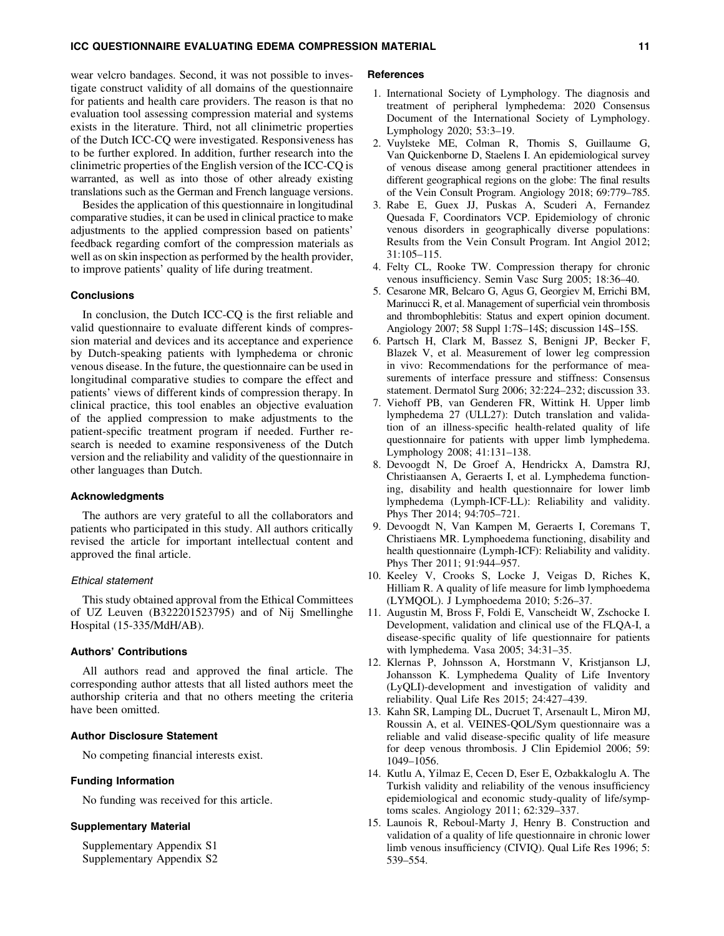wear velcro bandages. Second, it was not possible to investigate construct validity of all domains of the questionnaire for patients and health care providers. The reason is that no evaluation tool assessing compression material and systems exists in the literature. Third, not all clinimetric properties of the Dutch ICC-CQ were investigated. Responsiveness has to be further explored. In addition, further research into the clinimetric properties of the English version of the ICC-CQ is warranted, as well as into those of other already existing translations such as the German and French language versions.

Besides the application of this questionnaire in longitudinal comparative studies, it can be used in clinical practice to make adjustments to the applied compression based on patients' feedback regarding comfort of the compression materials as well as on skin inspection as performed by the health provider, to improve patients' quality of life during treatment.

#### **Conclusions**

In conclusion, the Dutch ICC-CQ is the first reliable and valid questionnaire to evaluate different kinds of compression material and devices and its acceptance and experience by Dutch-speaking patients with lymphedema or chronic venous disease. In the future, the questionnaire can be used in longitudinal comparative studies to compare the effect and patients' views of different kinds of compression therapy. In clinical practice, this tool enables an objective evaluation of the applied compression to make adjustments to the patient-specific treatment program if needed. Further research is needed to examine responsiveness of the Dutch version and the reliability and validity of the questionnaire in other languages than Dutch.

#### Acknowledgments

The authors are very grateful to all the collaborators and patients who participated in this study. All authors critically revised the article for important intellectual content and approved the final article.

#### Ethical statement

This study obtained approval from the Ethical Committees of UZ Leuven (B322201523795) and of Nij Smellinghe Hospital (15-335/MdH/AB).

#### Authors' Contributions

All authors read and approved the final article. The corresponding author attests that all listed authors meet the authorship criteria and that no others meeting the criteria have been omitted.

# Author Disclosure Statement

No competing financial interests exist.

# Funding Information

No funding was received for this article.

#### Supplementary Material

Supplementary Appendix S1 Supplementary Appendix S2

#### **References**

- 1. International Society of Lymphology. The diagnosis and treatment of peripheral lymphedema: 2020 Consensus Document of the International Society of Lymphology. Lymphology 2020; 53:3–19.
- 2. Vuylsteke ME, Colman R, Thomis S, Guillaume G, Van Quickenborne D, Staelens I. An epidemiological survey of venous disease among general practitioner attendees in different geographical regions on the globe: The final results of the Vein Consult Program. Angiology 2018; 69:779–785.
- 3. Rabe E, Guex JJ, Puskas A, Scuderi A, Fernandez Quesada F, Coordinators VCP. Epidemiology of chronic venous disorders in geographically diverse populations: Results from the Vein Consult Program. Int Angiol 2012; 31:105–115.
- 4. Felty CL, Rooke TW. Compression therapy for chronic venous insufficiency. Semin Vasc Surg 2005; 18:36–40.
- 5. Cesarone MR, Belcaro G, Agus G, Georgiev M, Errichi BM, Marinucci R, et al. Management of superficial vein thrombosis and thrombophlebitis: Status and expert opinion document. Angiology 2007; 58 Suppl 1:7S–14S; discussion 14S–15S.
- 6. Partsch H, Clark M, Bassez S, Benigni JP, Becker F, Blazek V, et al. Measurement of lower leg compression in vivo: Recommendations for the performance of measurements of interface pressure and stiffness: Consensus statement. Dermatol Surg 2006; 32:224–232; discussion 33.
- 7. Viehoff PB, van Genderen FR, Wittink H. Upper limb lymphedema 27 (ULL27): Dutch translation and validation of an illness-specific health-related quality of life questionnaire for patients with upper limb lymphedema. Lymphology 2008; 41:131–138.
- 8. Devoogdt N, De Groef A, Hendrickx A, Damstra RJ, Christiaansen A, Geraerts I, et al. Lymphedema functioning, disability and health questionnaire for lower limb lymphedema (Lymph-ICF-LL): Reliability and validity. Phys Ther 2014; 94:705–721.
- 9. Devoogdt N, Van Kampen M, Geraerts I, Coremans T, Christiaens MR. Lymphoedema functioning, disability and health questionnaire (Lymph-ICF): Reliability and validity. Phys Ther 2011; 91:944–957.
- 10. Keeley V, Crooks S, Locke J, Veigas D, Riches K, Hilliam R. A quality of life measure for limb lymphoedema (LYMQOL). J Lymphoedema 2010; 5:26–37.
- 11. Augustin M, Bross F, Foldi E, Vanscheidt W, Zschocke I. Development, validation and clinical use of the FLQA-I, a disease-specific quality of life questionnaire for patients with lymphedema. Vasa 2005; 34:31–35.
- 12. Klernas P, Johnsson A, Horstmann V, Kristjanson LJ, Johansson K. Lymphedema Quality of Life Inventory (LyQLI)-development and investigation of validity and reliability. Qual Life Res 2015; 24:427–439.
- 13. Kahn SR, Lamping DL, Ducruet T, Arsenault L, Miron MJ, Roussin A, et al. VEINES-QOL/Sym questionnaire was a reliable and valid disease-specific quality of life measure for deep venous thrombosis. J Clin Epidemiol 2006; 59: 1049–1056.
- 14. Kutlu A, Yilmaz E, Cecen D, Eser E, Ozbakkaloglu A. The Turkish validity and reliability of the venous insufficiency epidemiological and economic study-quality of life/symptoms scales. Angiology 2011; 62:329–337.
- 15. Launois R, Reboul-Marty J, Henry B. Construction and validation of a quality of life questionnaire in chronic lower limb venous insufficiency (CIVIQ). Qual Life Res 1996; 5: 539–554.